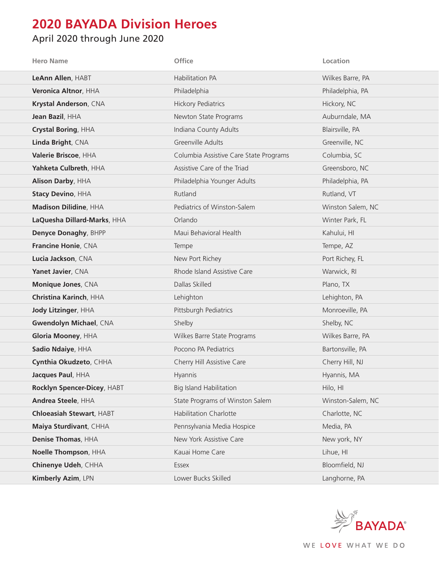## **2020 BAYADA Division Heroes**

## April 2020 through June 2020

| <b>Hero Name</b>                | Office                                 | Location          |
|---------------------------------|----------------------------------------|-------------------|
| LeAnn Allen, HABT               | Habilitation PA                        | Wilkes Barre, PA  |
| Veronica Altnor, HHA            | Philadelphia                           | Philadelphia, PA  |
| Krystal Anderson, CNA           | <b>Hickory Pediatrics</b>              | Hickory, NC       |
| Jean Bazil, HHA                 | Newton State Programs                  | Auburndale, MA    |
| Crystal Boring, HHA             | Indiana County Adults                  | Blairsville, PA   |
| Linda Bright, CNA               | Greenville Adults                      | Greenville, NC    |
| Valerie Briscoe, HHA            | Columbia Assistive Care State Programs | Columbia, SC      |
| Yahketa Culbreth, HHA           | Assistive Care of the Triad            | Greensboro, NC    |
| Alison Darby, HHA               | Philadelphia Younger Adults            | Philadelphia, PA  |
| <b>Stacy Devino, HHA</b>        | Rutland                                | Rutland, VT       |
| Madison Dilidine, HHA           | Pediatrics of Winston-Salem            | Winston Salem, NC |
| LaQuesha Dillard-Marks, HHA     | Orlando                                | Winter Park, FL   |
| Denyce Donaghy, BHPP            | Maui Behavioral Health                 | Kahului, HI       |
| Francine Honie, CNA             | Tempe                                  | Tempe, AZ         |
| Lucia Jackson, CNA              | New Port Richey                        | Port Richey, FL   |
| Yanet Javier, CNA               | Rhode Island Assistive Care            | Warwick, RI       |
| Monique Jones, CNA              | Dallas Skilled                         | Plano, TX         |
| Christina Karinch, HHA          | Lehighton                              | Lehighton, PA     |
| Jody Litzinger, HHA             | Pittsburgh Pediatrics                  | Monroeville, PA   |
| <b>Gwendolyn Michael, CNA</b>   | Shelby                                 | Shelby, NC        |
| Gloria Mooney, HHA              | Wilkes Barre State Programs            | Wilkes Barre, PA  |
| Sadio Ndaiye, HHA               | Pocono PA Pediatrics                   | Bartonsville, PA  |
| Cynthia Okudzeto, CHHA          | Cherry Hill Assistive Care             | Cherry Hill, NJ   |
| Jacques Paul, HHA               | Hyannis                                | Hyannis, MA       |
| Rocklyn Spencer-Dicey, HABT     | <b>Big Island Habilitation</b>         | Hilo, HI          |
| Andrea Steele, HHA              | State Programs of Winston Salem        | Winston-Salem, NC |
| <b>Chloeasiah Stewart, HABT</b> | <b>Habilitation Charlotte</b>          | Charlotte, NC     |
| Maiya Sturdivant, CHHA          | Pennsylvania Media Hospice             | Media, PA         |
| Denise Thomas, HHA              | New York Assistive Care                | New york, NY      |
| Noelle Thompson, HHA            | Kauai Home Care                        | Lihue, HI         |
| Chinenye Udeh, CHHA             | Essex                                  | Bloomfield, NJ    |
| Kimberly Azim, LPN              | Lower Bucks Skilled                    | Langhorne, PA     |

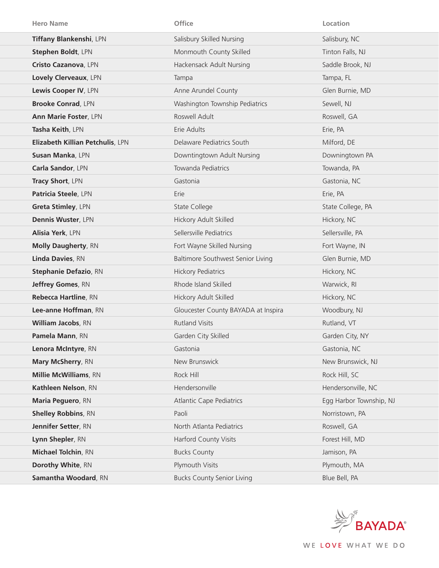| <b>Hero Name</b>                 | <b>Office</b>                       | Location                |
|----------------------------------|-------------------------------------|-------------------------|
| Tiffany Blankenshi, LPN          | Salisbury Skilled Nursing           | Salisbury, NC           |
| Stephen Boldt, LPN               | Monmouth County Skilled             | Tinton Falls, NJ        |
| Cristo Cazanova, LPN             | Hackensack Adult Nursing            | Saddle Brook, NJ        |
| Lovely Clerveaux, LPN            | Tampa                               | Tampa, FL               |
| Lewis Cooper IV, LPN             | Anne Arundel County                 | Glen Burnie, MD         |
| <b>Brooke Conrad, LPN</b>        | Washington Township Pediatrics      | Sewell, NJ              |
| Ann Marie Foster, LPN            | Roswell Adult                       | Roswell, GA             |
| Tasha Keith, LPN                 | Erie Adults                         | Erie, PA                |
| Elizabeth Killian Petchulis, LPN | Delaware Pediatrics South           | Milford, DE             |
| Susan Manka, LPN                 | Downtingtown Adult Nursing          | Downingtown PA          |
| Carla Sandor, LPN                | Towanda Pediatrics                  | Towanda, PA             |
| Tracy Short, LPN                 | Gastonia                            | Gastonia, NC            |
| Patricia Steele, LPN             | Erie                                | Erie, PA                |
| Greta Stimley, LPN               | State College                       | State College, PA       |
| Dennis Wuster, LPN               | Hickory Adult Skilled               | Hickory, NC             |
| Alisia Yerk, LPN                 | Sellersville Pediatrics             | Sellersville, PA        |
| <b>Molly Daugherty, RN</b>       | Fort Wayne Skilled Nursing          | Fort Wayne, IN          |
| Linda Davies, RN                 | Baltimore Southwest Senior Living   | Glen Burnie, MD         |
| <b>Stephanie Defazio, RN</b>     | <b>Hickory Pediatrics</b>           | Hickory, NC             |
| Jeffrey Gomes, RN                | Rhode Island Skilled                | Warwick, RI             |
| Rebecca Hartline, RN             | Hickory Adult Skilled               | Hickory, NC             |
| Lee-anne Hoffman, RN             | Gloucester County BAYADA at Inspira | Woodbury, NJ            |
| William Jacobs, RN               | <b>Rutland Visits</b>               | Rutland, VT             |
| Pamela Mann, RN                  | Garden City Skilled                 | Garden City, NY         |
| Lenora McIntyre, RN              | Gastonia                            | Gastonia, NC            |
| Mary McSherry, RN                | New Brunswick                       | New Brunswick, NJ       |
| <b>Millie McWilliams</b> , RN    | Rock Hill                           | Rock Hill, SC           |
| Kathleen Nelson, RN              | Hendersonville                      | Hendersonville, NC      |
| Maria Peguero, RN                | <b>Atlantic Cape Pediatrics</b>     | Egg Harbor Township, NJ |
| <b>Shelley Robbins, RN</b>       | Paoli                               | Norristown, PA          |
| Jennifer Setter, RN              | North Atlanta Pediatrics            | Roswell, GA             |
| Lynn Shepler, RN                 | <b>Harford County Visits</b>        | Forest Hill, MD         |
| <b>Michael Tolchin, RN</b>       | <b>Bucks County</b>                 | Jamison, PA             |
| Dorothy White, RN                | Plymouth Visits                     | Plymouth, MA            |
| Samantha Woodard, RN             | <b>Bucks County Senior Living</b>   | Blue Bell, PA           |